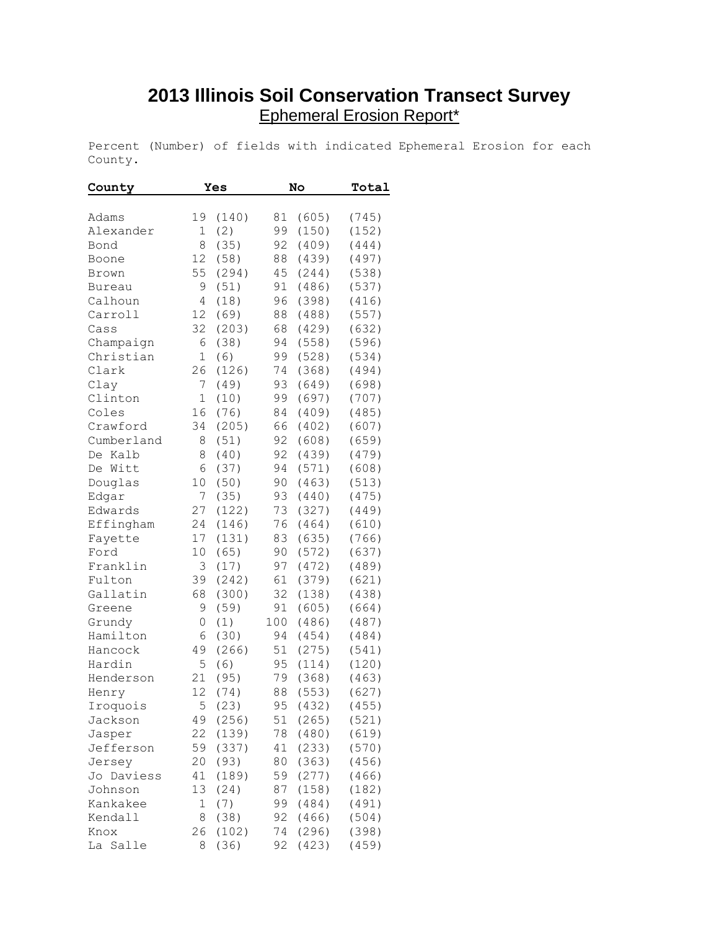## **2013 Illinois Soil Conservation Transect Survey** Ephemeral Erosion Report\*

Percent (Number) of fields with indicated Ephemeral Erosion for each County.

| County        | Yes |             | No  |       | Total          |
|---------------|-----|-------------|-----|-------|----------------|
|               |     |             |     |       |                |
| Adams         | 19  | (140)       | 81  | (605) | (745)          |
| Alexander     | 1   | (2)         | 99  | (150) | (152)          |
| Bond          | 8   | (35)        | 92  | (409) | (444)          |
| Boone         | 12  | (58)        | 88  | (439) | (497)          |
| Brown         | 55  | (294)       | 45  | (244) | (538)          |
| <b>Bureau</b> | 9   | (51)        | 91  | (486) | (537)          |
| Calhoun       | 4   | (18)        | 96  | (398) | (416)          |
| Carroll       | 12  | (69)        | 88  | (488) | (557)          |
| Cass          | 32  | (203)       | 68  | (429) | (632)          |
| Champaign     | 6   | (38)        | 94  | (558) | (596)          |
| Christian     | 1   | (6)         | 99  | (528) | (534)          |
| Clark         | 26  | (126)       | 74  | (368) | (494)          |
| Clay          | 7   | (49)        | 93  | (649) | (698)          |
| Clinton       | 1   | (10)        | 99  | (697) | (707)          |
| Coles         | 16  | (76)        | 84  | (409) | (485)          |
| Crawford      | 34  | (205)       | 66  | (402) | (607)          |
| Cumberland    | 8   | (51)        | 92  | (608) | (659)          |
| Kalb<br>De    | 8   | (40)        | 92  | (439) | (479)          |
| De Witt       | 6   | (37)        | 94  | (571) | (608)          |
| Douglas       | 10  | (50)        | 90  | (463) | (513)          |
| Edgar         | 7   | (35)        | 93  | (440) | (475)          |
| Edwards       | 27  | (122)       | 73  | (327) | (449)          |
| Effingham     | 24  | (146)       | 76  | (464) | (610)          |
| Fayette       | 17  | (131)       | 83  | (635) | (766)          |
| Ford          | 10  | (65)        | 90  | (572) | (637)          |
| Franklin      | 3   | (17)        | 97  | (472) | (489)          |
| Fulton        | 39  | (242)       | 61  | (379) | (621)          |
| Gallatin      | 68  | (300)       | 32  | (138) | (438)          |
| Greene        | 9   | (59)        | 91  | (605) | (664)          |
| Grundy        | 0   | (1)         | 100 | (486) | (487)          |
| Hamilton      | 6   | (30)        | 94  | (454) | (484)          |
| Hancock       | 49  | (266)       | 51  | (275) | (541)          |
| Hardin        | 5   |             | 95  | (114) |                |
| Henderson     | 21  | (6)<br>(95) | 79  | (368) | (120)<br>(463) |
|               | 12  |             |     |       |                |
| Henry         |     | (74)        | 88  | (553) | (627)          |
| Iroquois      | 5   | (23)        | 95  | (432) | (455)          |
| Jackson       | 49  | (256)       | 51  | (265) | (521)          |
| Jasper        | 22  | (139)       | 78  | (480) | (619)          |
| Jefferson     | 59  | (337)       | 41  | (233) | (570)          |
| Jersey        | 20  | (93)        | 80  | (363) | (456)          |
| Jo Daviess    | 41  | (189)       | 59  | (277) | (466)          |
| Johnson       | 13  | (24)        | 87  | (158) | (182)          |
| Kankakee      | 1   | (7)         | 99  | (484) | (491)          |
| Kendall       | 8   | (38)        | 92  | (466) | (504)          |
| Knox          | 26  | (102)       | 74  | (296) | (398)          |
| La<br>Salle   | 8   | (36)        | 92  | (423) | (459)          |